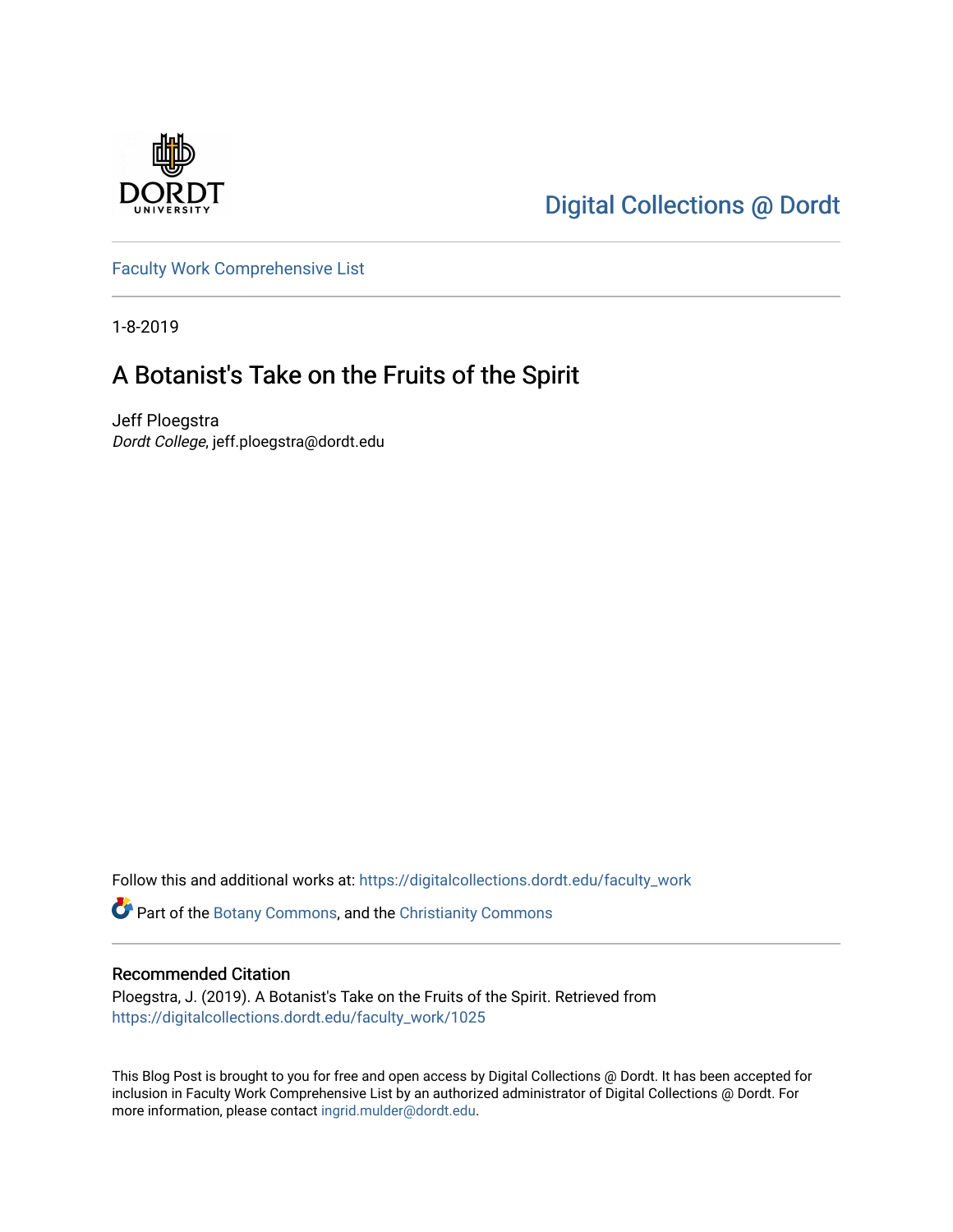

[Digital Collections @ Dordt](https://digitalcollections.dordt.edu/) 

[Faculty Work Comprehensive List](https://digitalcollections.dordt.edu/faculty_work)

1-8-2019

## A Botanist's Take on the Fruits of the Spirit

Jeff Ploegstra Dordt College, jeff.ploegstra@dordt.edu

Follow this and additional works at: [https://digitalcollections.dordt.edu/faculty\\_work](https://digitalcollections.dordt.edu/faculty_work?utm_source=digitalcollections.dordt.edu%2Ffaculty_work%2F1025&utm_medium=PDF&utm_campaign=PDFCoverPages) 

**P** Part of the [Botany Commons,](http://network.bepress.com/hgg/discipline/104?utm_source=digitalcollections.dordt.edu%2Ffaculty_work%2F1025&utm_medium=PDF&utm_campaign=PDFCoverPages) and the [Christianity Commons](http://network.bepress.com/hgg/discipline/1181?utm_source=digitalcollections.dordt.edu%2Ffaculty_work%2F1025&utm_medium=PDF&utm_campaign=PDFCoverPages)

#### Recommended Citation

Ploegstra, J. (2019). A Botanist's Take on the Fruits of the Spirit. Retrieved from [https://digitalcollections.dordt.edu/faculty\\_work/1025](https://digitalcollections.dordt.edu/faculty_work/1025?utm_source=digitalcollections.dordt.edu%2Ffaculty_work%2F1025&utm_medium=PDF&utm_campaign=PDFCoverPages)

This Blog Post is brought to you for free and open access by Digital Collections @ Dordt. It has been accepted for inclusion in Faculty Work Comprehensive List by an authorized administrator of Digital Collections @ Dordt. For more information, please contact [ingrid.mulder@dordt.edu.](mailto:ingrid.mulder@dordt.edu)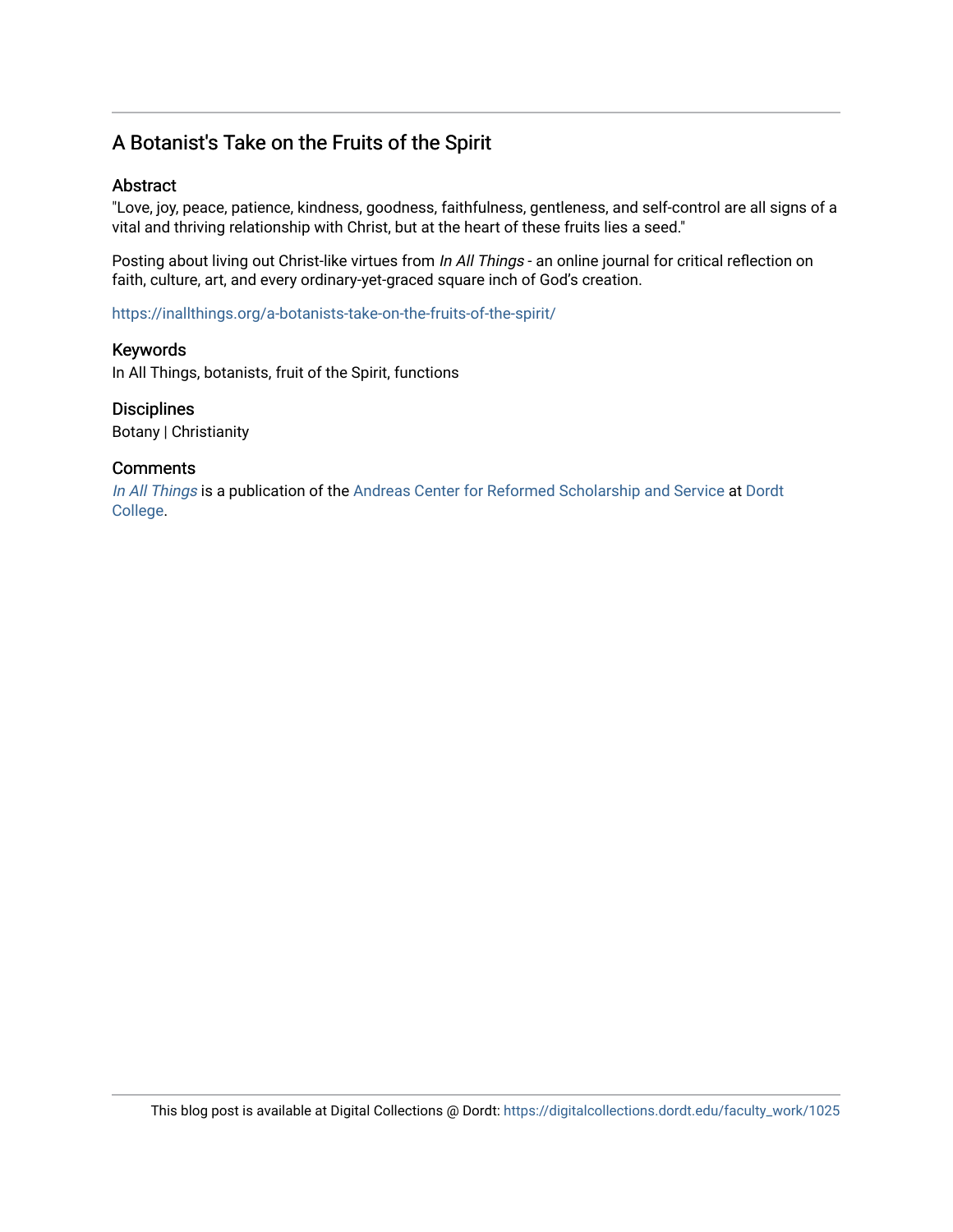### A Botanist's Take on the Fruits of the Spirit

#### Abstract

"Love, joy, peace, patience, kindness, goodness, faithfulness, gentleness, and self-control are all signs of a vital and thriving relationship with Christ, but at the heart of these fruits lies a seed."

Posting about living out Christ-like virtues from In All Things - an online journal for critical reflection on faith, culture, art, and every ordinary-yet-graced square inch of God's creation.

<https://inallthings.org/a-botanists-take-on-the-fruits-of-the-spirit/>

#### Keywords

In All Things, botanists, fruit of the Spirit, functions

#### **Disciplines**

Botany | Christianity

#### **Comments**

[In All Things](http://inallthings.org/) is a publication of the [Andreas Center for Reformed Scholarship and Service](http://www.dordt.edu/services_support/andreas_center/) at Dordt [College](http://www.dordt.edu/).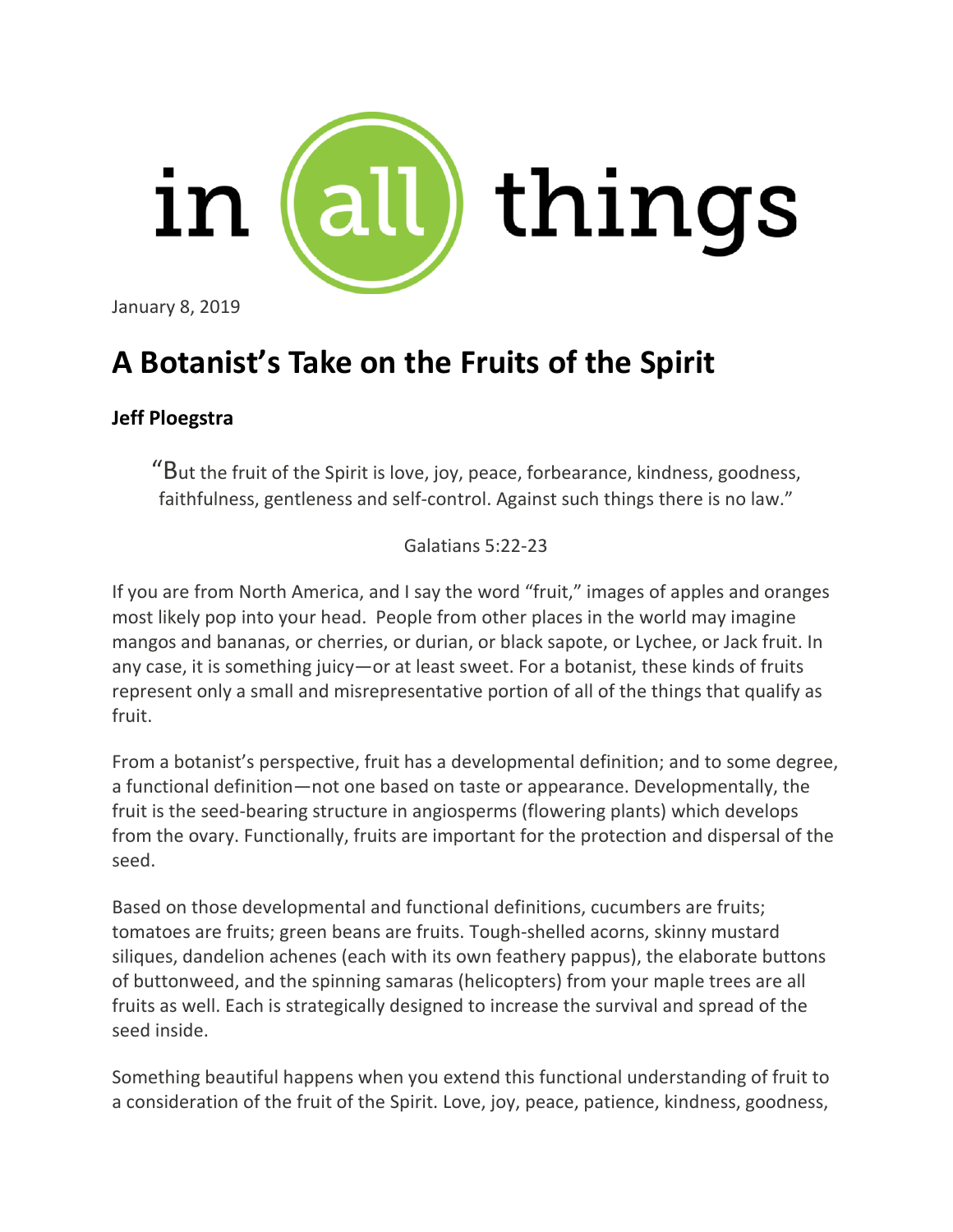

January 8, 2019

# **A [Botanist's](https://www.pexels.com/photo/selective-focus-photography-of-red-fruits-with-snow-1726783/) Take on the Fruits of the Spirit**

## **Jeff [Ploegstra](https://inallthings.org/contributor/jeff-ploegstra/)**

"But the fruit of the Spirit is love, joy, peace, forbearance, kindness, goodness, faithfulness, gentleness and self-control. Against such things there is no law."

Galatians 5:22-23

If you are from North America, and I say the word "fruit," images of apples and oranges most likely pop into your head. People from other places in the world may imagine mangos and bananas, or cherries, or durian, or black sapote, or Lychee, or Jack fruit. In any case, it is something juicy—or at least sweet. For a botanist, these kinds of fruits represent only a small and misrepresentative portion of all of the things that qualify as fruit.

From a botanist's perspective, fruit has a developmental definition; and to some degree, a functional definition—not one based on taste or appearance. Developmentally, the fruit is the seed-bearing structure in angiosperms (flowering plants) which develops from the ovary. Functionally, fruits are important for the protection and dispersal of the seed.

Based on those developmental and functional definitions, cucumbers are fruits; tomatoes are fruits; green beans are fruits. Tough-shelled acorns, skinny mustard siliques, dandelion achenes (each with its own feathery pappus), the elaborate buttons of buttonweed, and the spinning samaras (helicopters) from your maple trees are all fruits as well. Each is strategically designed to increase the survival and spread of the seed inside.

Something beautiful happens when you extend this functional understanding of fruit to a consideration of the fruit of the Spirit. Love, joy, peace, patience, kindness, goodness,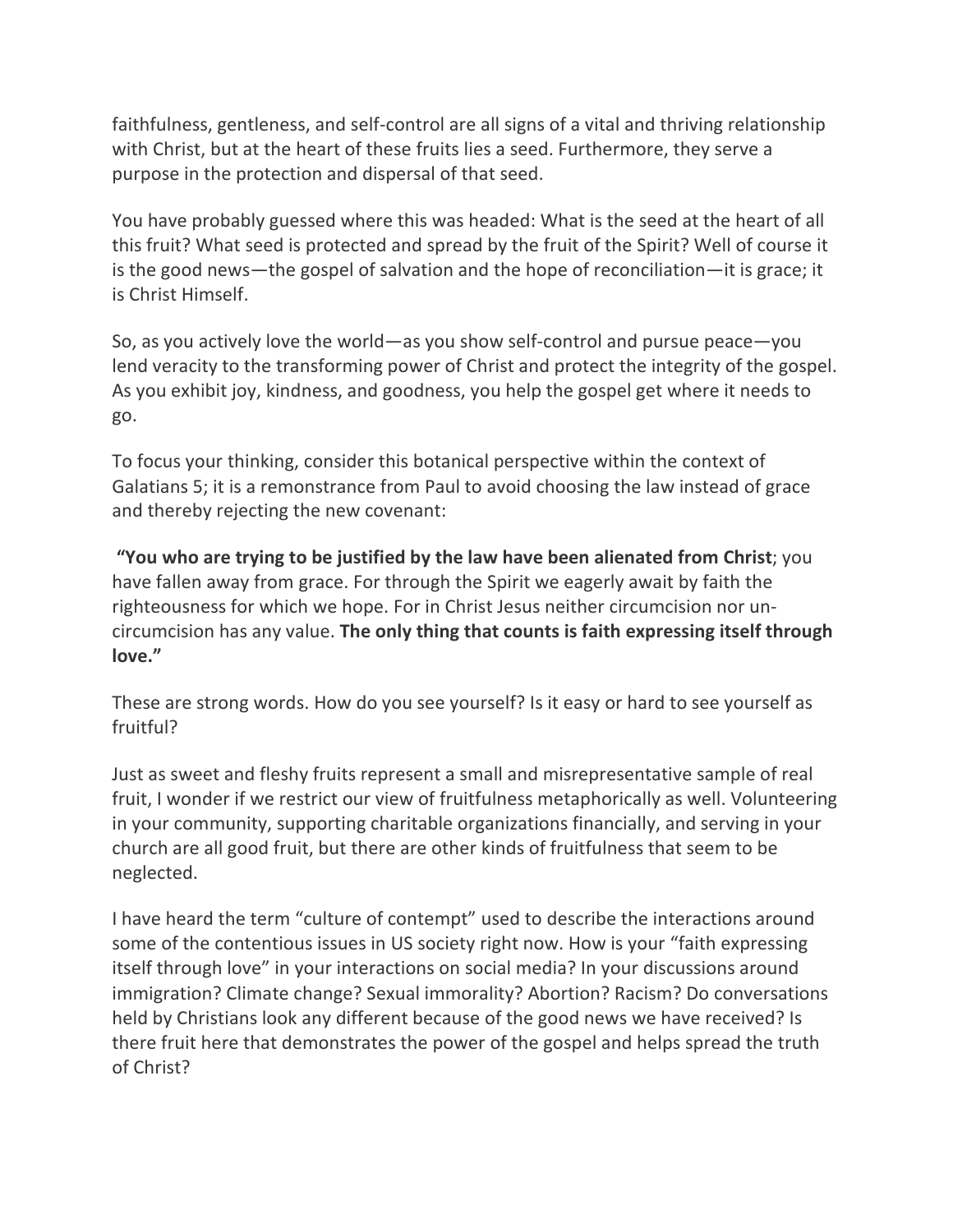faithfulness, gentleness, and self-control are all signs of a vital and thriving relationship with Christ, but at the heart of these fruits lies a seed. Furthermore, they serve a purpose in the protection and dispersal of that seed.

You have probably guessed where this was headed: What is the seed at the heart of all this fruit? What seed is protected and spread by the fruit of the Spirit? Well of course it is the good news—the gospel of salvation and the hope of reconciliation—it is grace; it is Christ Himself.

So, as you actively love the world—as you show self-control and pursue peace—you lend veracity to the transforming power of Christ and protect the integrity of the gospel. As you exhibit joy, kindness, and goodness, you help the gospel get where it needs to go.

To focus your thinking, consider this botanical perspective within the context of Galatians 5; it is a remonstrance from Paul to avoid choosing the law instead of grace and thereby rejecting the new covenant:

**"You who are trying to be justified by the law have been alienated from Christ**; you have fallen away from grace. For through the Spirit we eagerly await by faith the righteousness for which we hope. For in Christ Jesus neither circumcision nor uncircumcision has any value. **The only thing that counts is faith expressing itself through love."**

These are strong words. How do you see yourself? Is it easy or hard to see yourself as fruitful?

Just as sweet and fleshy fruits represent a small and misrepresentative sample of real fruit, I wonder if we restrict our view of fruitfulness metaphorically as well. Volunteering in your community, supporting charitable organizations financially, and serving in your church are all good fruit, but there are other kinds of fruitfulness that seem to be neglected.

I have heard the term "culture of contempt" used to describe the interactions around some of the contentious issues in US society right now. How is your "faith expressing itself through love" in your interactions on social media? In your discussions around immigration? Climate change? Sexual immorality? Abortion? Racism? Do conversations held by Christians look any different because of the good news we have received? Is there fruit here that demonstrates the power of the gospel and helps spread the truth of Christ?